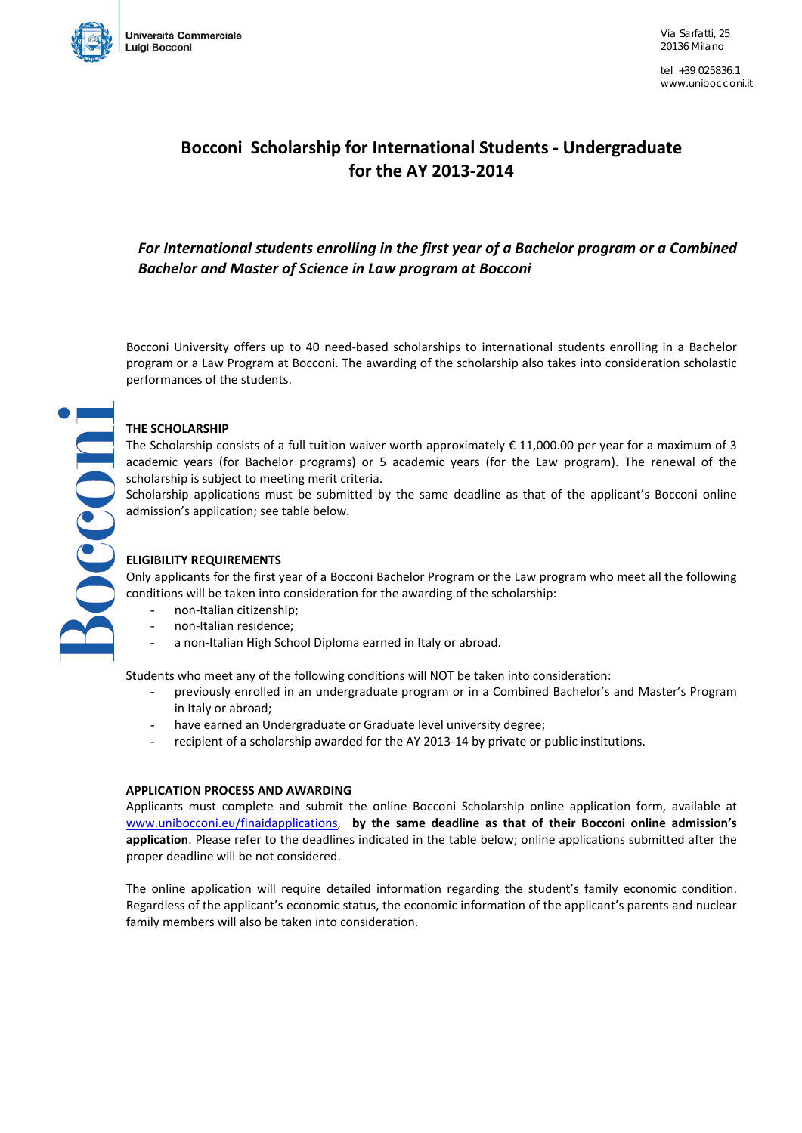

tel +39 025836.1 www.unibocconi.it

# **Bocconi Scholarship for International Students - Undergraduate for the AY 2013-2014**

## *For International students enrolling in the first year of a Bachelor program or a Combined Bachelor and Master of Science in Law program at Bocconi*

Bocconi University offers up to 40 need-based scholarships to international students enrolling in a Bachelor program or a Law Program at Bocconi. The awarding of the scholarship also takes into consideration scholastic performances of the students.

## **THE SCHOLARSHIP**

The Scholarship consists of a full tuition waiver worth approximately  $\epsilon$  11,000.00 per year for a maximum of 3 academic years (for Bachelor programs) or 5 academic years (for the Law program). The renewal of the scholarship is subject to meeting merit criteria.

Scholarship applications must be submitted by the same deadline as that of the applicant's Bocconi online admission's application; see table below.

### **ELIGIBILITY REQUIREMENTS**

Only applicants for the first year of a Bocconi Bachelor Program or the Law program who meet all the following conditions will be taken into consideration for the awarding of the scholarship:

- non-Italian citizenship;
- non-Italian residence;
- a non-Italian High School Diploma earned in Italy or abroad.

Students who meet any of the following conditions will NOT be taken into consideration:

- previously enrolled in an undergraduate program or in a Combined Bachelor's and Master's Program in Italy or abroad;
- have earned an Undergraduate or Graduate level university degree;
- recipient of a scholarship awarded for the AY 2013-14 by private or public institutions.

#### **APPLICATION PROCESS AND AWARDING**

Applicants must complete and submit the online Bocconi Scholarship online application form, available at [www.unibocconi.eu/finaidapplications,](http://www.unibocconi.eu/finaidapplications) **by the same deadline as that of their Bocconi online admission's application**. Please refer to the deadlines indicated in the table below; online applications submitted after the proper deadline will be not considered.

The online application will require detailed information regarding the student's family economic condition. Regardless of the applicant's economic status, the economic information of the applicant's parents and nuclear family members will also be taken into consideration.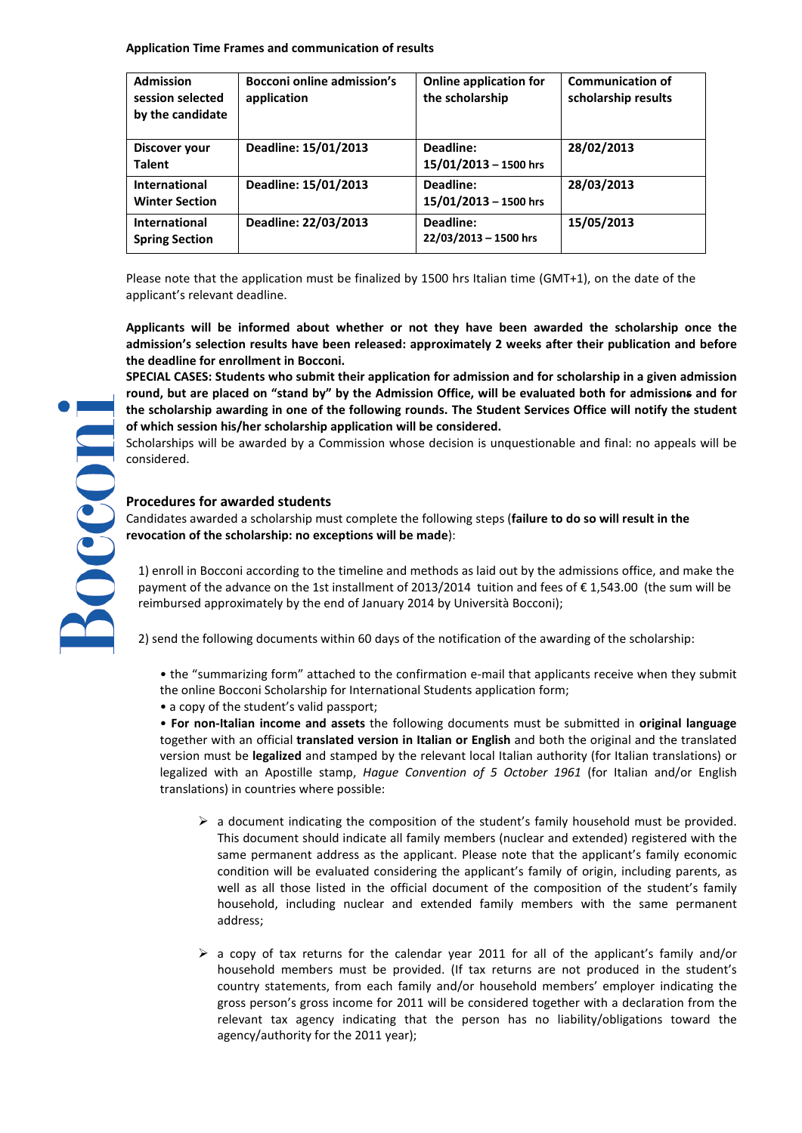**Application Time Frames and communication of results**

| <b>Admission</b><br>session selected<br>by the candidate | <b>Bocconi online admission's</b><br>application | <b>Online application for</b><br>the scholarship | <b>Communication of</b><br>scholarship results |
|----------------------------------------------------------|--------------------------------------------------|--------------------------------------------------|------------------------------------------------|
| Discover your<br><b>Talent</b>                           | Deadline: 15/01/2013                             | Deadline:<br>15/01/2013 - 1500 hrs               | 28/02/2013                                     |
| International<br><b>Winter Section</b>                   | Deadline: 15/01/2013                             | Deadline:<br>15/01/2013 - 1500 hrs               | 28/03/2013                                     |
| International<br><b>Spring Section</b>                   | Deadline: 22/03/2013                             | Deadline:<br>22/03/2013 - 1500 hrs               | 15/05/2013                                     |

Please note that the application must be finalized by 1500 hrs Italian time (GMT+1), on the date of the applicant's relevant deadline.

**Applicants will be informed about whether or not they have been awarded the scholarship once the admission's selection results have been released: approximately 2 weeks after their publication and before the deadline for enrollment in Bocconi.** 

**SPECIAL CASES: Students who submit their application for admission and for scholarship in a given admission round, but are placed on "stand by" by the Admission Office, will be evaluated both for admissions and for the scholarship awarding in one of the following rounds. The Student Services Office will notify the student of which session his/her scholarship application will be considered.** 

Scholarships will be awarded by a Commission whose decision is unquestionable and final: no appeals will be considered.

### **Procedures for awarded students**

Mocou

Candidates awarded a scholarship must complete the following steps (**failure to do so will result in the revocation of the scholarship: no exceptions will be made**):

1) enroll in Bocconi according to the timeline and methods as laid out by the admissions office, and make the payment of the advance on the 1st installment of 2013/2014 tuition and fees of € 1,543.00 (the sum will be reimbursed approximately by the end of January 2014 by Università Bocconi);

2) send the following documents within 60 days of the notification of the awarding of the scholarship:

- the "summarizing form" attached to the confirmation e-mail that applicants receive when they submit the online Bocconi Scholarship for International Students application form;
- a copy of the student's valid passport;

• **For non-Italian income and assets** the following documents must be submitted in **original language** together with an official **translated version in Italian or English** and both the original and the translated version must be **legalized** and stamped by the relevant local Italian authority (for Italian translations) or legalized with an Apostille stamp, *Hague Convention of 5 October 1961* (for Italian and/or English translations) in countries where possible:

- $\triangleright$  a document indicating the composition of the student's family household must be provided. This document should indicate all family members (nuclear and extended) registered with the same permanent address as the applicant. Please note that the applicant's family economic condition will be evaluated considering the applicant's family of origin, including parents, as well as all those listed in the official document of the composition of the student's family household, including nuclear and extended family members with the same permanent address;
- $\triangleright$  a copy of tax returns for the calendar year 2011 for all of the applicant's family and/or household members must be provided. (If tax returns are not produced in the student's country statements, from each family and/or household members' employer indicating the gross person's gross income for 2011 will be considered together with a declaration from the relevant tax agency indicating that the person has no liability/obligations toward the agency/authority for the 2011 year);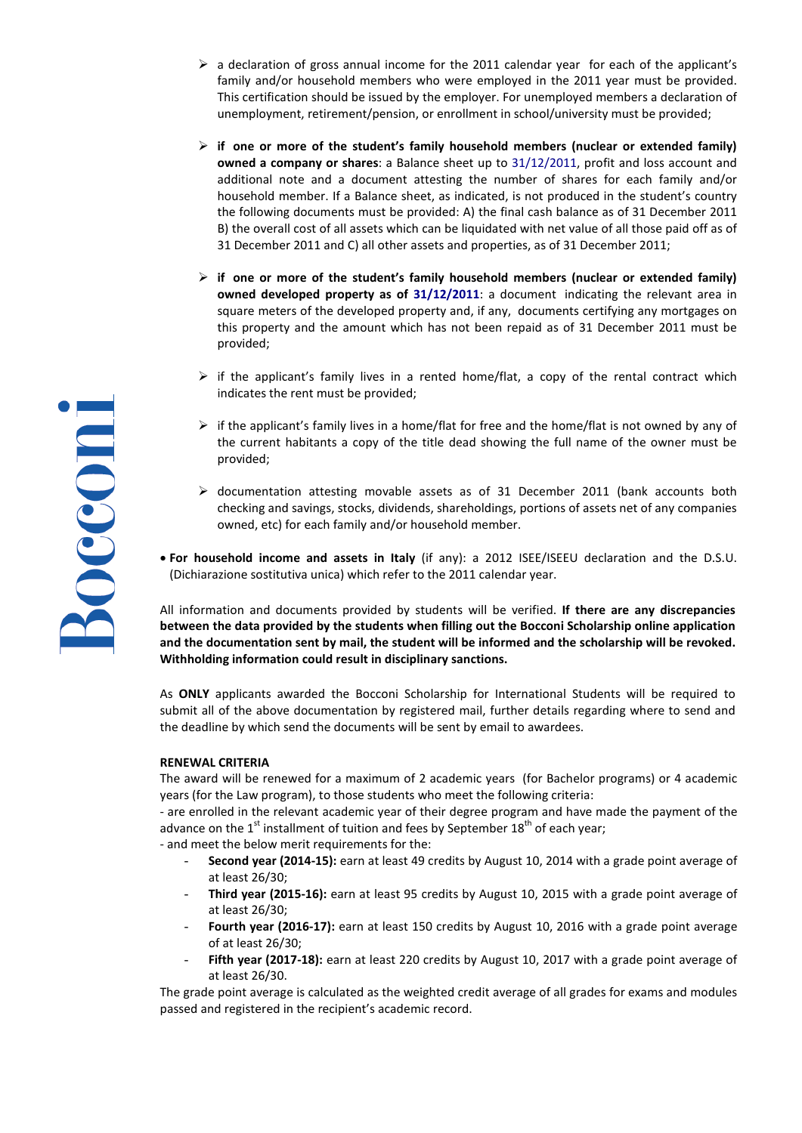- $\triangleright$  a declaration of gross annual income for the 2011 calendar year for each of the applicant's family and/or household members who were employed in the 2011 year must be provided. This certification should be issued by the employer. For unemployed members a declaration of unemployment, retirement/pension, or enrollment in school/university must be provided;
- $\triangleright$  if one or more of the student's family household members (nuclear or extended family) **owned a company or shares**: a Balance sheet up to 31/12/2011, profit and loss account and additional note and a document attesting the number of shares for each family and/or household member. If a Balance sheet, as indicated, is not produced in the student's country the following documents must be provided: A) the final cash balance as of 31 December 2011 B) the overall cost of all assets which can be liquidated with net value of all those paid off as of 31 December 2011 and C) all other assets and properties, as of 31 December 2011;
- $\triangleright$  if one or more of the student's family household members (nuclear or extended family) **owned developed property as of 31/12/2011**: a document indicating the relevant area in square meters of the developed property and, if any, documents certifying any mortgages on this property and the amount which has not been repaid as of 31 December 2011 must be provided;
- $\triangleright$  if the applicant's family lives in a rented home/flat, a copy of the rental contract which indicates the rent must be provided;
- $\triangleright$  if the applicant's family lives in a home/flat for free and the home/flat is not owned by any of the current habitants a copy of the title dead showing the full name of the owner must be provided;
- $\triangleright$  documentation attesting movable assets as of 31 December 2011 (bank accounts both checking and savings, stocks, dividends, shareholdings, portions of assets net of any companies owned, etc) for each family and/or household member.
- **For household income and assets in Italy** (if any): a 2012 ISEE/ISEEU declaration and the D.S.U. (Dichiarazione sostitutiva unica) which refer to the 2011 calendar year.

All information and documents provided by students will be verified. **If there are any discrepancies between the data provided by the students when filling out the Bocconi Scholarship online application and the documentation sent by mail, the student will be informed and the scholarship will be revoked. Withholding information could result in disciplinary sanctions.**

As **ONLY** applicants awarded the Bocconi Scholarship for International Students will be required to submit all of the above documentation by registered mail, further details regarding where to send and the deadline by which send the documents will be sent by email to awardees.

#### **RENEWAL CRITERIA**

The award will be renewed for a maximum of 2 academic years (for Bachelor programs) or 4 academic years (for the Law program), to those students who meet the following criteria:

- are enrolled in the relevant academic year of their degree program and have made the payment of the advance on the  $1<sup>st</sup>$  installment of tuition and fees by September  $18<sup>th</sup>$  of each year;

- and meet the below merit requirements for the:

- **Second year (2014-15):** earn at least 49 credits by August 10, 2014 with a grade point average of at least 26/30;
- **Third year (2015-16):** earn at least 95 credits by August 10, 2015 with a grade point average of at least 26/30;
- Fourth year (2016-17): earn at least 150 credits by August 10, 2016 with a grade point average of at least 26/30;
- Fifth year (2017-18): earn at least 220 credits by August 10, 2017 with a grade point average of at least 26/30.

The grade point average is calculated as the weighted credit average of all grades for exams and modules passed and registered in the recipient's academic record.